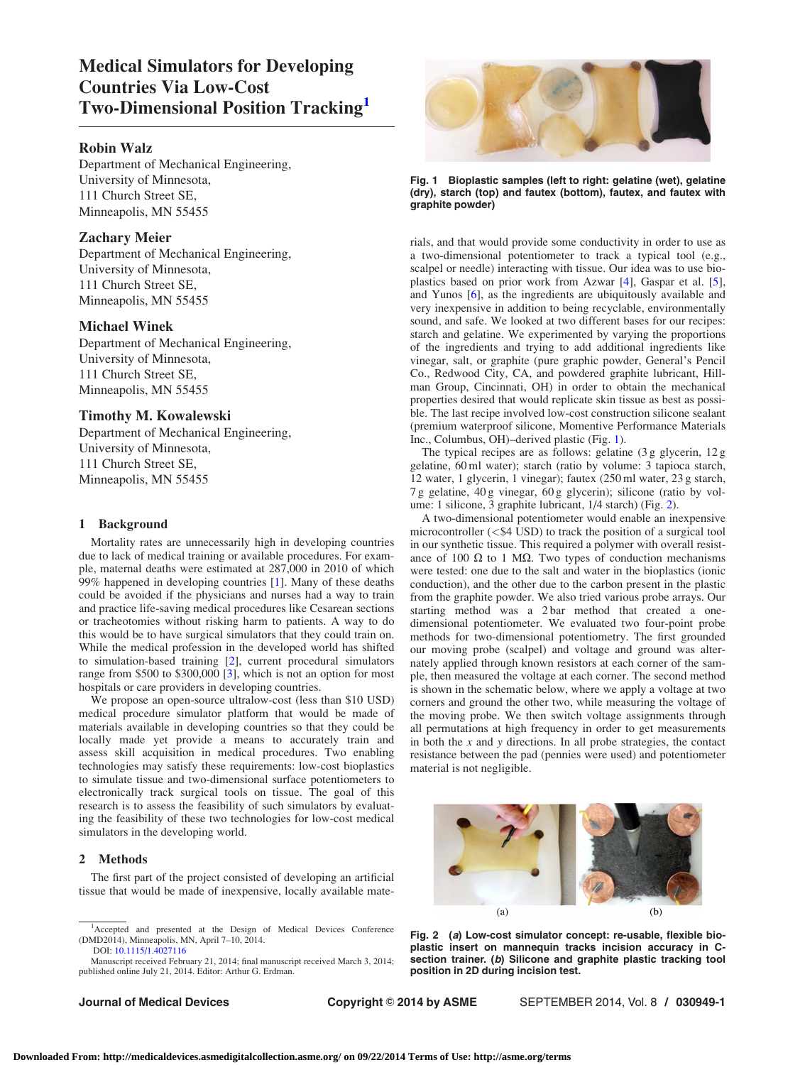# Medical Simulators for Developing Countries Via Low-Cost Two-Dimensional Position Tracking

## Robin Walz

Department of Mechanical Engineering, University of Minnesota, 111 Church Street SE, Minneapolis, MN 55455

## Zachary Meier

Department of Mechanical Engineering, University of Minnesota, 111 Church Street SE, Minneapolis, MN 55455

## Michael Winek

Department of Mechanical Engineering, University of Minnesota, 111 Church Street SE, Minneapolis, MN 55455

## Timothy M. Kowalewski

Department of Mechanical Engineering, University of Minnesota, 111 Church Street SE, Minneapolis, MN 55455

## 1 Background

Mortality rates are unnecessarily high in developing countries due to lack of medical training or available procedures. For example, maternal deaths were estimated at 287,000 in 2010 of which 99% happened in developing countries [[1](#page-2-0)]. Many of these deaths could be avoided if the physicians and nurses had a way to train and practice life-saving medical procedures like Cesarean sections or tracheotomies without risking harm to patients. A way to do this would be to have surgical simulators that they could train on. While the medical profession in the developed world has shifted to simulation-based training [\[2\]](#page-2-0), current procedural simulators range from \$500 to \$300,000 [[3](#page-2-0)], which is not an option for most hospitals or care providers in developing countries.

We propose an open-source ultralow-cost (less than \$10 USD) medical procedure simulator platform that would be made of materials available in developing countries so that they could be locally made yet provide a means to accurately train and assess skill acquisition in medical procedures. Two enabling technologies may satisfy these requirements: low-cost bioplastics to simulate tissue and two-dimensional surface potentiometers to electronically track surgical tools on tissue. The goal of this research is to assess the feasibility of such simulators by evaluating the feasibility of these two technologies for low-cost medical simulators in the developing world.

## 2 Methods

The first part of the project consisted of developing an artificial tissue that would be made of inexpensive, locally available mate-



Fig. 1 Bioplastic samples (left to right: gelatine (wet), gelatine (dry), starch (top) and fautex (bottom), fautex, and fautex with graphite powder)

rials, and that would provide some conductivity in order to use as a two-dimensional potentiometer to track a typical tool (e.g., scalpel or needle) interacting with tissue. Our idea was to use bioplastics based on prior work from Azwar [\[4\]](#page-2-0), Gaspar et al. [\[5\]](#page-2-0), and Yunos [\[6\]](#page-2-0), as the ingredients are ubiquitously available and very inexpensive in addition to being recyclable, environmentally sound, and safe. We looked at two different bases for our recipes: starch and gelatine. We experimented by varying the proportions of the ingredients and trying to add additional ingredients like vinegar, salt, or graphite (pure graphic powder, General's Pencil Co., Redwood City, CA, and powdered graphite lubricant, Hillman Group, Cincinnati, OH) in order to obtain the mechanical properties desired that would replicate skin tissue as best as possible. The last recipe involved low-cost construction silicone sealant (premium waterproof silicone, Momentive Performance Materials Inc., Columbus, OH)–derived plastic (Fig. 1).

The typical recipes are as follows: gelatine (3 g glycerin, 12 g gelatine, 60 ml water); starch (ratio by volume: 3 tapioca starch, 12 water, 1 glycerin, 1 vinegar); fautex (250 ml water, 23 g starch, 7 g gelatine, 40 g vinegar, 60 g glycerin); silicone (ratio by volume: 1 silicone, 3 graphite lubricant, 1/4 starch) (Fig. 2).

A two-dimensional potentiometer would enable an inexpensive microcontroller (<\$4 USD) to track the position of a surgical tool in our synthetic tissue. This required a polymer with overall resistance of 100  $\Omega$  to 1 M $\Omega$ . Two types of conduction mechanisms were tested: one due to the salt and water in the bioplastics (ionic conduction), and the other due to the carbon present in the plastic from the graphite powder. We also tried various probe arrays. Our starting method was a 2 bar method that created a onedimensional potentiometer. We evaluated two four-point probe methods for two-dimensional potentiometry. The first grounded our moving probe (scalpel) and voltage and ground was alternately applied through known resistors at each corner of the sample, then measured the voltage at each corner. The second method is shown in the schematic below, where we apply a voltage at two corners and ground the other two, while measuring the voltage of the moving probe. We then switch voltage assignments through all permutations at high frequency in order to get measurements in both the  $x$  and  $y$  directions. In all probe strategies, the contact resistance between the pad (pennies were used) and potentiometer material is not negligible.



Fig. 2 (a) Low-cost simulator concept: re-usable, flexible bioplastic insert on mannequin tracks incision accuracy in Csection trainer. (b) Silicone and graphite plastic tracking tool position in 2D during incision test.

<sup>1</sup> Accepted and presented at the Design of Medical Devices Conference (DMD2014), Minneapolis, MN, April 7–10, 2014. DOI: [10.1115/1.4027116](http://dx.doi.org/10.1115/1.4027116)

Manuscript received February 21, 2014; final manuscript received March 3, 2014; published online July 21, 2014. Editor: Arthur G. Erdman.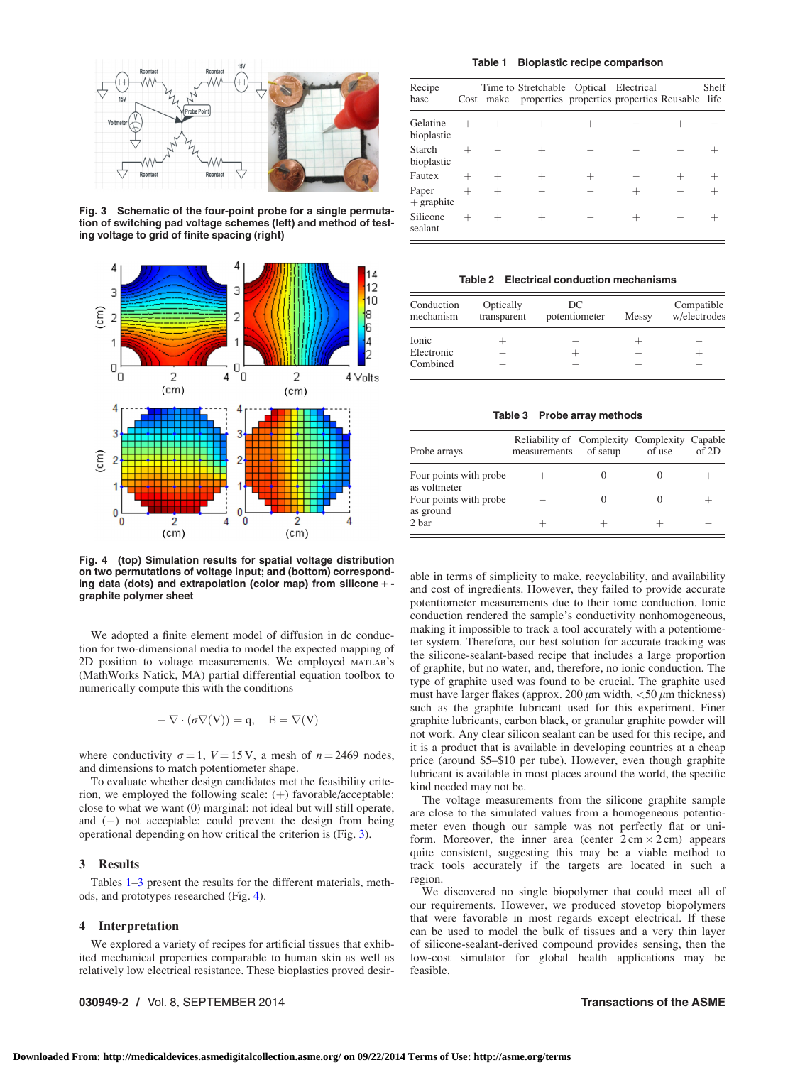

Fig. 3 Schematic of the four-point probe for a single permutation of switching pad voltage schemes (left) and method of testing voltage to grid of finite spacing (right)



Fig. 4 (top) Simulation results for spatial voltage distribution on two permutations of voltage input; and (bottom) corresponding data (dots) and extrapolation (color map) from silicone  $+$  graphite polymer sheet

We adopted a finite element model of diffusion in dc conduction for two-dimensional media to model the expected mapping of 2D position to voltage measurements. We employed MATLAB's (MathWorks Natick, MA) partial differential equation toolbox to numerically compute this with the conditions

$$
-\nabla \cdot (\sigma \nabla(V)) = q, \quad E = \nabla(V)
$$

where conductivity  $\sigma = 1$ ,  $V = 15$  V, a mesh of  $n = 2469$  nodes, and dimensions to match potentiometer shape.

To evaluate whether design candidates met the feasibility criterion, we employed the following scale:  $(+)$  favorable/acceptable: close to what we want (0) marginal: not ideal but will still operate, and  $(-)$  not acceptable: could prevent the design from being operational depending on how critical the criterion is (Fig. 3).

#### 3 Results

Tables 1–3 present the results for the different materials, methods, and prototypes researched (Fig. 4).

#### 4 Interpretation

We explored a variety of recipes for artificial tissues that exhibited mechanical properties comparable to human skin as well as relatively low electrical resistance. These bioplastics proved desir-

## 030949-2 / Vol. 8, SEPTEMBER 2014 **Transactions of the ASME**

#### Table 1 Bioplastic recipe comparison

| Recipe<br>base         | Cost    | Time to Stretchable Optical Electrical<br>make properties properties properties Reusable life |  | Shelf |
|------------------------|---------|-----------------------------------------------------------------------------------------------|--|-------|
| Gelatine<br>bioplastic |         |                                                                                               |  |       |
| Starch<br>bioplastic   |         |                                                                                               |  |       |
| Fautex                 |         |                                                                                               |  |       |
| Paper<br>$+$ graphite  | $\!+\!$ |                                                                                               |  |       |
| Silicone<br>sealant    |         |                                                                                               |  |       |

Table 2 Electrical conduction mechanisms

| Conduction<br>mechanism | Optically<br>transparent | DC<br>potentiometer | Messy | Compatible<br>w/electrodes |
|-------------------------|--------------------------|---------------------|-------|----------------------------|
| Ionic                   |                          |                     |       |                            |
| Electronic              |                          |                     |       |                            |
| Combined                |                          |                     |       |                            |

#### Table 3 Probe array methods

| Probe arrays                           | Reliability of Complexity Complexity Capable<br>measurements | of setup | of use | of 2D |
|----------------------------------------|--------------------------------------------------------------|----------|--------|-------|
| Four points with probe<br>as voltmeter |                                                              |          |        |       |
| Four points with probe<br>as ground    |                                                              |          |        |       |
| 2 bar                                  |                                                              |          |        |       |

able in terms of simplicity to make, recyclability, and availability and cost of ingredients. However, they failed to provide accurate potentiometer measurements due to their ionic conduction. Ionic conduction rendered the sample's conductivity nonhomogeneous, making it impossible to track a tool accurately with a potentiometer system. Therefore, our best solution for accurate tracking was the silicone-sealant-based recipe that includes a large proportion of graphite, but no water, and, therefore, no ionic conduction. The type of graphite used was found to be crucial. The graphite used must have larger flakes (approx. 200  $\mu$ m width, <50  $\mu$ m thickness) such as the graphite lubricant used for this experiment. Finer graphite lubricants, carbon black, or granular graphite powder will not work. Any clear silicon sealant can be used for this recipe, and it is a product that is available in developing countries at a cheap price (around \$5–\$10 per tube). However, even though graphite lubricant is available in most places around the world, the specific kind needed may not be.

The voltage measurements from the silicone graphite sample are close to the simulated values from a homogeneous potentiometer even though our sample was not perfectly flat or uniform. Moreover, the inner area (center  $2 \text{ cm} \times 2 \text{ cm}$ ) appears quite consistent, suggesting this may be a viable method to track tools accurately if the targets are located in such a region.

We discovered no single biopolymer that could meet all of our requirements. However, we produced stovetop biopolymers that were favorable in most regards except electrical. If these can be used to model the bulk of tissues and a very thin layer of silicone-sealant-derived compound provides sensing, then the low-cost simulator for global health applications may be feasible.